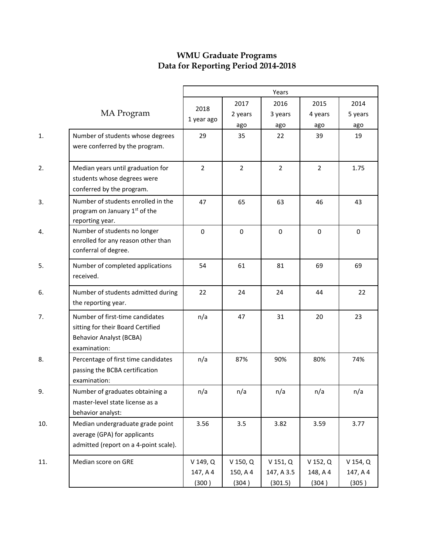## **WMU Graduate Programs Data for Reporting Period 2014-2018**

|     |                                                                                                                        |                               | Years                             |                                       |                                   |                                   |  |  |
|-----|------------------------------------------------------------------------------------------------------------------------|-------------------------------|-----------------------------------|---------------------------------------|-----------------------------------|-----------------------------------|--|--|
|     | MA Program                                                                                                             | 2018<br>1 year ago            | 2017<br>2 years<br>ago            | 2016<br>3 years<br>ago                | 2015<br>4 years<br>ago            | 2014<br>5 years<br>ago            |  |  |
| 1.  | Number of students whose degrees<br>were conferred by the program.                                                     | 29                            | 35                                | 22                                    | 39                                | 19                                |  |  |
| 2.  | Median years until graduation for<br>students whose degrees were<br>conferred by the program.                          | $\overline{2}$                | $\overline{2}$                    | $\overline{2}$                        | $\overline{2}$                    | 1.75                              |  |  |
| 3.  | Number of students enrolled in the<br>program on January 1 <sup>st</sup> of the<br>reporting year.                     | 47                            | 65                                | 63                                    | 46                                | 43                                |  |  |
| 4.  | Number of students no longer<br>enrolled for any reason other than<br>conferral of degree.                             | 0                             | $\mathbf 0$                       | $\mathbf 0$                           | 0                                 | $\pmb{0}$                         |  |  |
| 5.  | Number of completed applications<br>received.                                                                          | 54                            | 61                                | 81                                    | 69                                | 69                                |  |  |
| 6.  | Number of students admitted during<br>the reporting year.                                                              | 22                            | 24                                | 24                                    | 44                                | 22                                |  |  |
| 7.  | Number of first-time candidates<br>sitting for their Board Certified<br><b>Behavior Analyst (BCBA)</b><br>examination: | n/a                           | 47                                | 31                                    | 20                                | 23                                |  |  |
| 8.  | Percentage of first time candidates<br>passing the BCBA certification<br>examination:                                  | n/a                           | 87%                               | 90%                                   | 80%                               | 74%                               |  |  |
| 9.  | Number of graduates obtaining a<br>master-level state license as a<br>behavior analyst:                                | n/a                           | n/a                               | n/a                                   | n/a                               | n/a                               |  |  |
| 10. | Median undergraduate grade point<br>average (GPA) for applicants<br>admitted (report on a 4-point scale).              | 3.56                          | 3.5                               | 3.82                                  | 3.59                              | 3.77                              |  |  |
| 11. | Median score on GRE                                                                                                    | V 149, Q<br>147, A 4<br>(300) | $V$ 150, $Q$<br>150, A 4<br>(304) | $V$ 151, $Q$<br>147, A 3.5<br>(301.5) | $V$ 152, $Q$<br>148, A 4<br>(304) | $V$ 154, $Q$<br>147, A 4<br>(305) |  |  |